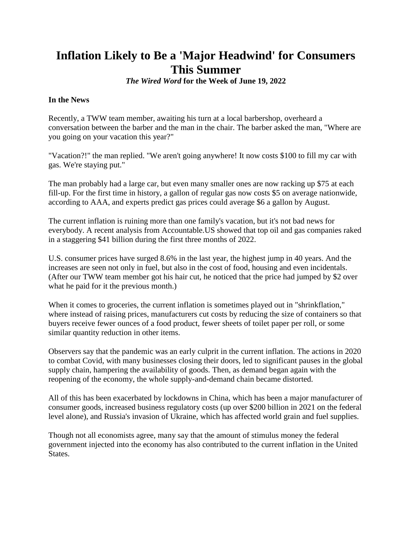# **Inflation Likely to Be a 'Major Headwind' for Consumers This Summer**

*The Wired Word* **for the Week of June 19, 2022**

### **In the News**

Recently, a TWW team member, awaiting his turn at a local barbershop, overheard a conversation between the barber and the man in the chair. The barber asked the man, "Where are you going on your vacation this year?"

"Vacation?!" the man replied. "We aren't going anywhere! It now costs \$100 to fill my car with gas. We're staying put."

The man probably had a large car, but even many smaller ones are now racking up \$75 at each fill-up. For the first time in history, a gallon of regular gas now costs \$5 on average nationwide, according to AAA, and experts predict gas prices could average \$6 a gallon by August.

The current inflation is ruining more than one family's vacation, but it's not bad news for everybody. A recent analysis from Accountable.US showed that top oil and gas companies raked in a staggering \$41 billion during the first three months of 2022.

U.S. consumer prices have surged 8.6% in the last year, the highest jump in 40 years. And the increases are seen not only in fuel, but also in the cost of food, housing and even incidentals. (After our TWW team member got his hair cut, he noticed that the price had jumped by \$2 over what he paid for it the previous month.)

When it comes to groceries, the current inflation is sometimes played out in "shrinkflation," where instead of raising prices, manufacturers cut costs by reducing the size of containers so that buyers receive fewer ounces of a food product, fewer sheets of toilet paper per roll, or some similar quantity reduction in other items.

Observers say that the pandemic was an early culprit in the current inflation. The actions in 2020 to combat Covid, with many businesses closing their doors, led to significant pauses in the global supply chain, hampering the availability of goods. Then, as demand began again with the reopening of the economy, the whole supply-and-demand chain became distorted.

All of this has been exacerbated by lockdowns in China, which has been a major manufacturer of consumer goods, increased business regulatory costs (up over \$200 billion in 2021 on the federal level alone), and Russia's invasion of Ukraine, which has affected world grain and fuel supplies.

Though not all economists agree, many say that the amount of stimulus money the federal government injected into the economy has also contributed to the current inflation in the United States.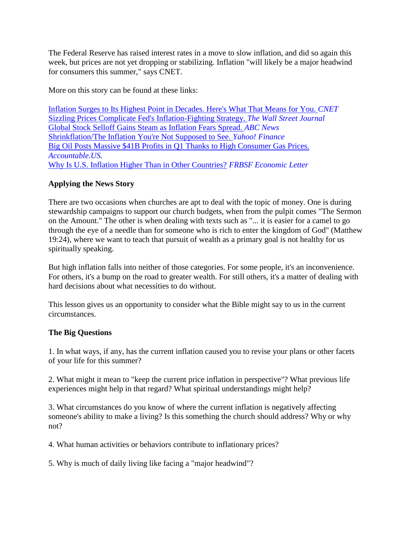The Federal Reserve has raised interest rates in a move to slow inflation, and did so again this week, but prices are not yet dropping or stabilizing. Inflation "will likely be a major headwind for consumers this summer," says CNET.

More on this story can be found at these links:

[Inflation Surges to Its Highest Point in Decades. Here's What That Means for You.](http://url6748.thewiredword.com/ls/click?upn=FXq18njYKHucetmqt-2BDlqzT4fYZ6h3Py3iyfOMC8Skgy7cxtTc8iHht9DLyUN6emaIKqzTOYDikesVelBVTbu6lYvjVEgozaOLRhSMtVyWfbF1-2BH8K27AsCoHXSm5ZoTa8eepB5qHYRNMin0HZF6GVC-2FHBZxYGp92IYUmy19XgxUP2-2FI-2FCTPuv6T5Rgev-2F5l1ODX_3P4Kxku8HPj-2F7I4XoZ3-2FXv9OsSYMv1idSWZlXhhfbq-2BSQce3dwmMi3-2FKRL57X8zahNWVMqSXIuLV2CogM9cAPZCCtnbhb1KEvMJTnX859-2BxMxmjExZjj5tjzI-2FXiu1u8SuLPhKAMyyOIHFyztzoKk62RqLBZthxenAUOwch4vqrhuRaeoKqVnX61-2FQ5NYuJOgrMnl5KGJJhnBQd8dNMpjjqUypAuvELnUVRaYFCl6UYmiulnoGGRnJYA8hC7DQuFE9DaX9YHFr8HMXvAD4utnkE4TKIOaqsQoUusnSkVHZf8sTYIbtb3SjLV9ZTebku1dfWiRF2nQWIkfcKIfvbTFrqbNf0zQg2aQgBgUu4-2FuAflIJLgVe7nBloZoxlwcVr90fzxeI9YxJVVLhfW4o-2BXbAtWe02-2Bhmbk8tqYd5-2FrIEFLASTCN2suqaNzNBHpbnQukq5VwoZxPydgDdNm0MtIQW-2BlqAAHZK9YFuhyhWfJVi84Xxrf7gIfz6c4UvDS8w-2BL) *CNET* [Sizzling Prices Complicate Fed's Inflation-Fighting Strategy.](http://url6748.thewiredword.com/ls/click?upn=FXq18njYKHucetmqt-2BDlq38A8txJhexnIjg-2BlMebMGBYvd0EERDCgdamnZAMtEuC0W2dI-2Bf7YlXct5fDFDKnYh-2FpqbPBpgMMP0yq765n7P1xRB-2BUmcDLoF3KiUcH4TR4Vm1LhHqRk5TYfTSfaG12yCDM9LMZ7j-2Fy1DMpnwZeYZoHTmS9PklcPBk3qcLVFQutW-2FoKNNi-2BZgv2LIp-2BSoiI-2BXGncy8InSaWh4rteas9ShI-3Dyuga_3P4Kxku8HPj-2F7I4XoZ3-2FXv9OsSYMv1idSWZlXhhfbq-2BSQce3dwmMi3-2FKRL57X8zahNWVMqSXIuLV2CogM9cAPZCCtnbhb1KEvMJTnX859-2BxMxmjExZjj5tjzI-2FXiu1u8SuLPhKAMyyOIHFyztzoKk62RqLBZthxenAUOwch4vqrhuRaeoKqVnX61-2FQ5NYuJOgrMnl5KGJJhnBQd8dNMpjjqUypAuvELnUVRaYFCl6UYmiulnoGGRnJYA8hC7DQuFE9DaX9YHFr8HMXvAD4utnkE4TKIOaqsQoUusnSkVHZd3iNy2Po5UtAnFIc9Brrwce-2BTdsOksxpy4NVyO1rvm80uQzbZ-2F6GuIlopzXrERR2XvO46bjmSXEc-2BvyuRfm4-2BKWsXuP8CAdNLOxLYKMD5csdVlpwtATL8MQ16brPeo-2FdVuZtoVQNXrS3fdtEGaPG0zWUYNd0TMOwE-2F0-2FSrpPYqGmIoIpndKiuMliaE26P2zT9TVBTsT1aqwBQwGS8pYdhd) *The Wall Street Journal* [Global Stock Selloff Gains Steam as Inflation Fears Spread.](http://url6748.thewiredword.com/ls/click?upn=FXq18njYKHucetmqt-2BDlq4s9VZk-2BXsLQ7GSqRBfxMThOZaIWIXSMYHyWtAMK6QRqxo1LNDwawjtAoNKcfeEq6axTqnc88PyrbvwsuU-2Bj7dEfGznOZD3Hr59IZ9eWF5XNyZGvj-2Fd9Z1-2FkNcWvRg9l31AvmnWKjZs-2Bh-2BjTCKwdHwg-3DJkki_3P4Kxku8HPj-2F7I4XoZ3-2FXv9OsSYMv1idSWZlXhhfbq-2BSQce3dwmMi3-2FKRL57X8zahNWVMqSXIuLV2CogM9cAPZCCtnbhb1KEvMJTnX859-2BxMxmjExZjj5tjzI-2FXiu1u8SuLPhKAMyyOIHFyztzoKk62RqLBZthxenAUOwch4vqrhuRaeoKqVnX61-2FQ5NYuJOgrMnl5KGJJhnBQd8dNMpjjqUypAuvELnUVRaYFCl6UYmiulnoGGRnJYA8hC7DQuFE9DaX9YHFr8HMXvAD4utnkE4TKIOaqsQoUusnSkVHZc6R0VLFDfBXQ25TsZZIn8VcY8VFqTNdR61zciezOBdo62oil5ygC2Jhegw0bGHaDh6zQpVVCNXDQdQ1NtcRVw5yhwGIAoqweNR3A-2FmfpPTnaGmyWZOra8Vf3Q-2FBa49G2mkeXFpFTUvVsCEBY-2BSZF0LjhqdOs0LPNmRtDuyf5gwkh0ClQm64NS26OiCWUai0NS-2FlEkFNTo-2BYbQQPpGAR0-2BL) *ABC News* [Shrinkflation/The Inflation You're Not Supposed to See.](http://url6748.thewiredword.com/ls/click?upn=FXq18njYKHucetmqt-2BDlq8aHvcaFTqhOFk4BkPkdyvQ-2FLXcV31AIJsa3avcrvMWPtUUUofFsnhPjSqBTQvxsffi-2BJUCw3zk-2FFsrwdD4xFtrkX57YpdMGyKDXZSvC-2FYnw02t6_3P4Kxku8HPj-2F7I4XoZ3-2FXv9OsSYMv1idSWZlXhhfbq-2BSQce3dwmMi3-2FKRL57X8zahNWVMqSXIuLV2CogM9cAPZCCtnbhb1KEvMJTnX859-2BxMxmjExZjj5tjzI-2FXiu1u8SuLPhKAMyyOIHFyztzoKk62RqLBZthxenAUOwch4vqrhuRaeoKqVnX61-2FQ5NYuJOgrMnl5KGJJhnBQd8dNMpjjqUypAuvELnUVRaYFCl6UYmiulnoGGRnJYA8hC7DQuFE9DaX9YHFr8HMXvAD4utnkE4TKIOaqsQoUusnSkVHZe1lZzziBDto0Ne7wdjqO4Zg0TPOTqFdurgCizYXiwBCjT-2BXG-2FTTS4coGMwPdHMGbfKv6b1qlP9dfgQdV1xGsb7Tvu4nqWoCodE9ibh0UHEGYf3shTIXP4ZHKIBcMah-2FUnvWFNCyvifieo-2BdFgNs-2F-2BA0L-2BnQtPo401xHVYaIC1Tej3C0uLAlGZ1POVbQpSbuHvhMXvPCN68U40B8X9cjLNZ) *Yahoo! Finance* [Big Oil Posts Massive \\$41B Profits in Q1 Thanks to High Consumer Gas Prices.](http://url6748.thewiredword.com/ls/click?upn=FXq18njYKHucetmqt-2BDlqxA8iQDwNVK-2Bo97GXlBoQcKmz-2FJtAkNmC3s3sbympVaHiHaadiwXzAhYQfMMwgeprzsXtPwb1Eb-2BtFNIBFxWl3rV9m5MA80E3FOTsmnbbtkXgq-2FVODyOIWZ0qnugxwBVohzbflYTRwoKZ1CbO5kXP0A-3DBJAH_3P4Kxku8HPj-2F7I4XoZ3-2FXv9OsSYMv1idSWZlXhhfbq-2BSQce3dwmMi3-2FKRL57X8zahNWVMqSXIuLV2CogM9cAPZCCtnbhb1KEvMJTnX859-2BxMxmjExZjj5tjzI-2FXiu1u8SuLPhKAMyyOIHFyztzoKk62RqLBZthxenAUOwch4vqrhuRaeoKqVnX61-2FQ5NYuJOgrMnl5KGJJhnBQd8dNMpjjqUypAuvELnUVRaYFCl6UYmiulnoGGRnJYA8hC7DQuFE9DaX9YHFr8HMXvAD4utnkE4TKIOaqsQoUusnSkVHZcJpfNBN7JJyniOjfMNGuMpx17-2By-2Fie59dgV-2F-2BKh1QhGzdxZUdVrLJ1X-2FguC-2BwhMdiqKCfX6QL0pWx0VCljDr0zHsEYTesUyzMorgxa5-2FQ4e-2BaoWgzNBsPnu6afwKCaBift62YFtGm1pUlx5qKgA-2FLyO3-2BFMH49uOnNuEuHZuZzC2GxLSt-2FmvdqEDsOtgkSGigHEj5eq8U0ifHpUgpACWdE)  *[Accountable.US.](http://url6748.thewiredword.com/ls/click?upn=FXq18njYKHucetmqt-2BDlqxA8iQDwNVK-2Bo97GXlBoQcKmz-2FJtAkNmC3s3sbympVaHiHaadiwXzAhYQfMMwgeprzsXtPwb1Eb-2BtFNIBFxWl3rV9m5MA80E3FOTsmnbbtkXgq-2FVODyOIWZ0qnugxwBVohzbflYTRwoKZ1CbO5kXP0A-3DBJAH_3P4Kxku8HPj-2F7I4XoZ3-2FXv9OsSYMv1idSWZlXhhfbq-2BSQce3dwmMi3-2FKRL57X8zahNWVMqSXIuLV2CogM9cAPZCCtnbhb1KEvMJTnX859-2BxMxmjExZjj5tjzI-2FXiu1u8SuLPhKAMyyOIHFyztzoKk62RqLBZthxenAUOwch4vqrhuRaeoKqVnX61-2FQ5NYuJOgrMnl5KGJJhnBQd8dNMpjjqUypAuvELnUVRaYFCl6UYmiulnoGGRnJYA8hC7DQuFE9DaX9YHFr8HMXvAD4utnkE4TKIOaqsQoUusnSkVHZcJpfNBN7JJyniOjfMNGuMpx17-2By-2Fie59dgV-2F-2BKh1QhGzdxZUdVrLJ1X-2FguC-2BwhMdiqKCfX6QL0pWx0VCljDr0zHsEYTesUyzMorgxa5-2FQ4e-2BaoWgzNBsPnu6afwKCaBift62YFtGm1pUlx5qKgA-2FLyO3-2BFMH49uOnNuEuHZuZzC2GxLSt-2FmvdqEDsOtgkSGigHEj5eq8U0ifHpUgpACWdE)* [Why Is U.S. Inflation Higher Than in Other Countries?](http://url6748.thewiredword.com/ls/click?upn=FXq18njYKHucetmqt-2BDlq-2FOJBh-2ByaY8qS33-2BS90j8hweT1A4Q2pgg5207CD1f5EaB7Sax3l1kYDOw6qRNw0SLnX2OF6Q46pl6ps2oC-2FkR7T38op0IywNFcLdZwktNdKarEUH8PEw1OnBjy3jLYFea8WovlM96VN9-2BlC5HRFJ7NEbjqh5C4EnrVPxA-2Fjt5oRw6z40_3P4Kxku8HPj-2F7I4XoZ3-2FXv9OsSYMv1idSWZlXhhfbq-2BSQce3dwmMi3-2FKRL57X8zahNWVMqSXIuLV2CogM9cAPZCCtnbhb1KEvMJTnX859-2BxMxmjExZjj5tjzI-2FXiu1u8SuLPhKAMyyOIHFyztzoKk62RqLBZthxenAUOwch4vqrhuRaeoKqVnX61-2FQ5NYuJOgrMnl5KGJJhnBQd8dNMpjjqUypAuvELnUVRaYFCl6UYmiulnoGGRnJYA8hC7DQuFE9DaX9YHFr8HMXvAD4utnkE4TKIOaqsQoUusnSkVHZeZLI9-2FZbS9t8-2FjX5UzTb7LUguT0uZVg0A0wWIHQ-2FhXr-2BeuH24ygpEVXXq8nTyOGKH9OFlT9YuLAyU0ByfMmWwACcwXFyvYRHc68OA-2BCkaBt8CqMW6KlN6mtvM4P7T0eZVu906YHKAi8sHkiT35FBcYFzUx63TSCOKByYnx-2BBktdX9ZsC-2B36lg3FdXk8YWugrv-2F5GvJrCd8RDWV-2FSc0T5T4) *FRBSF Economic Letter*

### **Applying the News Story**

There are two occasions when churches are apt to deal with the topic of money. One is during stewardship campaigns to support our church budgets, when from the pulpit comes "The Sermon on the Amount." The other is when dealing with texts such as "... it is easier for a camel to go through the eye of a needle than for someone who is rich to enter the kingdom of God" (Matthew 19:24), where we want to teach that pursuit of wealth as a primary goal is not healthy for us spiritually speaking.

But high inflation falls into neither of those categories. For some people, it's an inconvenience. For others, it's a bump on the road to greater wealth. For still others, it's a matter of dealing with hard decisions about what necessities to do without.

This lesson gives us an opportunity to consider what the Bible might say to us in the current circumstances.

## **The Big Questions**

1. In what ways, if any, has the current inflation caused you to revise your plans or other facets of your life for this summer?

2. What might it mean to "keep the current price inflation in perspective"? What previous life experiences might help in that regard? What spiritual understandings might help?

3. What circumstances do you know of where the current inflation is negatively affecting someone's ability to make a living? Is this something the church should address? Why or why not?

4. What human activities or behaviors contribute to inflationary prices?

5. Why is much of daily living like facing a "major headwind"?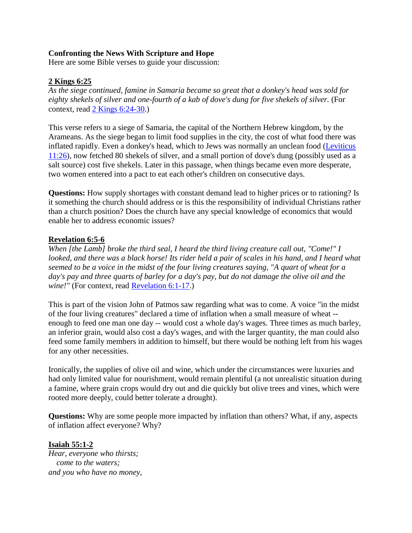### **Confronting the News With Scripture and Hope**

Here are some Bible verses to guide your discussion:

### **2 Kings 6:25**

*As the siege continued, famine in Samaria became so great that a donkey's head was sold for eighty shekels of silver and one-fourth of a kab of dove's dung for five shekels of silver.* (For context, read [2 Kings 6:24-30.](http://url6748.thewiredword.com/ls/click?upn=FXq18njYKHucetmqt-2BDlq7yUGu2EWPSz-2Brkxn3-2Blc81laFvNpatXtNw2c8uopxzg9yej-2BFVUDXoEWey4HTwd9CHcKVHU0cq4s0w14uS4jvR82IdwwVBTydvwBcJ8sq13p-MR_3P4Kxku8HPj-2F7I4XoZ3-2FXv9OsSYMv1idSWZlXhhfbq-2BSQce3dwmMi3-2FKRL57X8zahNWVMqSXIuLV2CogM9cAPZCCtnbhb1KEvMJTnX859-2BxMxmjExZjj5tjzI-2FXiu1u8SuLPhKAMyyOIHFyztzoKk62RqLBZthxenAUOwch4vqrhuRaeoKqVnX61-2FQ5NYuJOgrMnl5KGJJhnBQd8dNMpjjqUypAuvELnUVRaYFCl6UYmiulnoGGRnJYA8hC7DQuFE9DaX9YHFr8HMXvAD4utnkE4TKIOaqsQoUusnSkVHZfuR4TiJitSLz9dRY80CZO8xnQ2PBgXYU8x6LvqBbGYAeHMKbLCCgtLNNpBOeMkjabMPA8rDY6dOlXG0H5a53YpuIY9-2BN0yRHBNHTlnl3r73ZXUmdHmsHmvTdxL7x-2Fz5-2FCZ3-2Fo6Ju8qW8FGtEHncl8JS55Re0n4nFHIRMobHiyBNl3lny2Iul949XD-2FdFmwxmuLuk6DfhikILUALuRqj6ul))

This verse refers to a siege of Samaria, the capital of the Northern Hebrew kingdom, by the Arameans. As the siege began to limit food supplies in the city, the cost of what food there was inflated rapidly. Even a donkey's head, which to Jews was normally an unclean food [\(Leviticus](http://url6748.thewiredword.com/ls/click?upn=FXq18njYKHucetmqt-2BDlq7yUGu2EWPSz-2Brkxn3-2Blc81laFvNpatXtNw2c8uopxzgusKb4K1XY-2B-2B3nQZTb8lj8av0ulq6TxtPYgAtCVACUeLNVDfdlp5ZXNL45N9YqX6wJmcf_3P4Kxku8HPj-2F7I4XoZ3-2FXv9OsSYMv1idSWZlXhhfbq-2BSQce3dwmMi3-2FKRL57X8zahNWVMqSXIuLV2CogM9cAPZCCtnbhb1KEvMJTnX859-2BxMxmjExZjj5tjzI-2FXiu1u8SuLPhKAMyyOIHFyztzoKk62RqLBZthxenAUOwch4vqrhuRaeoKqVnX61-2FQ5NYuJOgrMnl5KGJJhnBQd8dNMpjjqUypAuvELnUVRaYFCl6UYmiulnoGGRnJYA8hC7DQuFE9DaX9YHFr8HMXvAD4utnkE4TKIOaqsQoUusnSkVHZceqKUAeFzwXaBIuMmX1FSa0Kq5-2FhLCc5XZH1GgC2oiE7HVZnJzxNw3vC99mIm6HiJ9CZe05Iy6fXSksaxXZlmxn87kl1zavFvaOKA3iWMQxiKexAcZO3zN19KRX0YjN-2FNL-2BDXpTu8ilhFqt-2BMU6IpaE2K5gd9YZ1-2FTzQABeKmWK6qdLWFLCl58w0Kz4d8mgNvkCllIFqaCAze1uEalKWwJ)  [11:26\)](http://url6748.thewiredword.com/ls/click?upn=FXq18njYKHucetmqt-2BDlq7yUGu2EWPSz-2Brkxn3-2Blc81laFvNpatXtNw2c8uopxzgusKb4K1XY-2B-2B3nQZTb8lj8av0ulq6TxtPYgAtCVACUeLNVDfdlp5ZXNL45N9YqX6wJmcf_3P4Kxku8HPj-2F7I4XoZ3-2FXv9OsSYMv1idSWZlXhhfbq-2BSQce3dwmMi3-2FKRL57X8zahNWVMqSXIuLV2CogM9cAPZCCtnbhb1KEvMJTnX859-2BxMxmjExZjj5tjzI-2FXiu1u8SuLPhKAMyyOIHFyztzoKk62RqLBZthxenAUOwch4vqrhuRaeoKqVnX61-2FQ5NYuJOgrMnl5KGJJhnBQd8dNMpjjqUypAuvELnUVRaYFCl6UYmiulnoGGRnJYA8hC7DQuFE9DaX9YHFr8HMXvAD4utnkE4TKIOaqsQoUusnSkVHZceqKUAeFzwXaBIuMmX1FSa0Kq5-2FhLCc5XZH1GgC2oiE7HVZnJzxNw3vC99mIm6HiJ9CZe05Iy6fXSksaxXZlmxn87kl1zavFvaOKA3iWMQxiKexAcZO3zN19KRX0YjN-2FNL-2BDXpTu8ilhFqt-2BMU6IpaE2K5gd9YZ1-2FTzQABeKmWK6qdLWFLCl58w0Kz4d8mgNvkCllIFqaCAze1uEalKWwJ), now fetched 80 shekels of silver, and a small portion of dove's dung (possibly used as a salt source) cost five shekels. Later in this passage, when things became even more desperate, two women entered into a pact to eat each other's children on consecutive days.

**Questions:** How supply shortages with constant demand lead to higher prices or to rationing? Is it something the church should address or is this the responsibility of individual Christians rather than a church position? Does the church have any special knowledge of economics that would enable her to address economic issues?

### **Revelation 6:5-6**

*When [the Lamb] broke the third seal, I heard the third living creature call out, "Come!" I looked, and there was a black horse! Its rider held a pair of scales in his hand, and I heard what seemed to be a voice in the midst of the four living creatures saying, "A quart of wheat for a day's pay and three quarts of barley for a day's pay, but do not damage the olive oil and the wine!"* (For context, read [Revelation 6:1-17.](http://url6748.thewiredword.com/ls/click?upn=FXq18njYKHucetmqt-2BDlq7yUGu2EWPSz-2Brkxn3-2Blc81laFvNpatXtNw2c8uopxzgO-2BK6aoNx4MbX4a4ECdgg1CtrjR1bbmtDlscaNGtfMCpI3EdV9SxgdObV8KkpMlVu13qQ_3P4Kxku8HPj-2F7I4XoZ3-2FXv9OsSYMv1idSWZlXhhfbq-2BSQce3dwmMi3-2FKRL57X8zahNWVMqSXIuLV2CogM9cAPZCCtnbhb1KEvMJTnX859-2BxMxmjExZjj5tjzI-2FXiu1u8SuLPhKAMyyOIHFyztzoKk62RqLBZthxenAUOwch4vqrhuRaeoKqVnX61-2FQ5NYuJOgrMnl5KGJJhnBQd8dNMpjjqUypAuvELnUVRaYFCl6UYmiulnoGGRnJYA8hC7DQuFE9DaX9YHFr8HMXvAD4utnkE4TKIOaqsQoUusnSkVHZdsIlwBaJbYhNhHWd8lRVpSz-2F4uko0vFYUpfULnd0J3uj7JTNdLIOt0v2Smt06oVbZ6KmCR38SF1ErOrGg4RE-2BBrpIWLvr0V-2BgaPSDgI-2B5wwe-2FlY-2BNTD-2FfRXebbWpccCfzQgBH7o3U5r8Ev5smHAK3zr-2FyWzgmI0BQrCHA-2Bohil8smF7IJ-2FYG-2B6TQJnFjBudR45J4rBZqFf5gBdvypCQkXr))

This is part of the vision John of Patmos saw regarding what was to come. A voice "in the midst of the four living creatures" declared a time of inflation when a small measure of wheat - enough to feed one man one day -- would cost a whole day's wages. Three times as much barley, an inferior grain, would also cost a day's wages, and with the larger quantity, the man could also feed some family members in addition to himself, but there would be nothing left from his wages for any other necessities.

Ironically, the supplies of olive oil and wine, which under the circumstances were luxuries and had only limited value for nourishment, would remain plentiful (a not unrealistic situation during a famine, where grain crops would dry out and die quickly but olive trees and vines, which were rooted more deeply, could better tolerate a drought).

**Questions:** Why are some people more impacted by inflation than others? What, if any, aspects of inflation affect everyone? Why?

### **Isaiah 55:1-2**

*Hear, everyone who thirsts; come to the waters; and you who have no money,*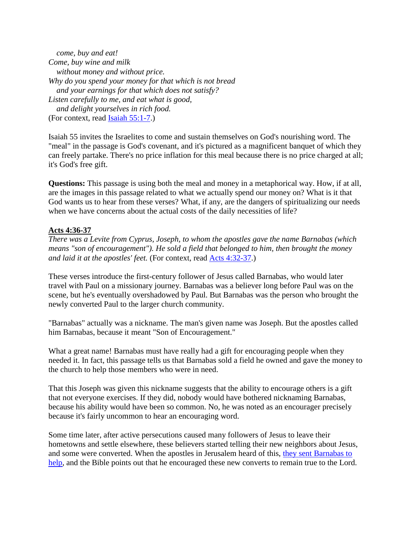*come, buy and eat! Come, buy wine and milk without money and without price. Why do you spend your money for that which is not bread and your earnings for that which does not satisfy? Listen carefully to me, and eat what is good, and delight yourselves in rich food.* (For context, read [Isaiah 55:1-7.](http://url6748.thewiredword.com/ls/click?upn=FXq18njYKHucetmqt-2BDlq7yUGu2EWPSz-2Brkxn3-2Blc81laFvNpatXtNw2c8uopxzgB6ANca3UjVPz2QNB8xkYOUutBbtR4dNSchDslQ8Zfw0CjjGEnfTEURLgKmA21tZbUF12_3P4Kxku8HPj-2F7I4XoZ3-2FXv9OsSYMv1idSWZlXhhfbq-2BSQce3dwmMi3-2FKRL57X8zahNWVMqSXIuLV2CogM9cAPZCCtnbhb1KEvMJTnX859-2BxMxmjExZjj5tjzI-2FXiu1u8SuLPhKAMyyOIHFyztzoKk62RqLBZthxenAUOwch4vqrhuRaeoKqVnX61-2FQ5NYuJOgrMnl5KGJJhnBQd8dNMpjjqUypAuvELnUVRaYFCl6UYmiulnoGGRnJYA8hC7DQuFE9DaX9YHFr8HMXvAD4utnkE4TKIOaqsQoUusnSkVHZduOwRWxOjOsqxzZIDtucTSMaBY1ydYf5F3OvdNbPcqJqxXoNp-2Bqp3qGzxitAtb91EuqBjxjjTb3EKBx4XY0PhYNwEYcPo7t0-2FYqgY-2FZgq9GLgSORqDvRofAsbM9xN-2BDBdbFVJwmVpFeBwykGorN-2BWWYW9QxqeEBKIrXN-2FaEHKA-2BYlDuoblyE2cAyzEDJiWTMpS3EYgClCETRGHjhbnNgrm))

Isaiah 55 invites the Israelites to come and sustain themselves on God's nourishing word. The "meal" in the passage is God's covenant, and it's pictured as a magnificent banquet of which they can freely partake. There's no price inflation for this meal because there is no price charged at all; it's God's free gift.

**Questions:** This passage is using both the meal and money in a metaphorical way. How, if at all, are the images in this passage related to what we actually spend our money on? What is it that God wants us to hear from these verses? What, if any, are the dangers of spiritualizing our needs when we have concerns about the actual costs of the daily necessities of life?

### **Acts 4:36-37**

*There was a Levite from Cyprus, Joseph, to whom the apostles gave the name Barnabas (which means "son of encouragement"). He sold a field that belonged to him, then brought the money and laid it at the apostles' feet.* (For context, read [Acts 4:32-37.](http://url6748.thewiredword.com/ls/click?upn=FXq18njYKHucetmqt-2BDlq7yUGu2EWPSz-2Brkxn3-2Blc81laFvNpatXtNw2c8uopxzggqJeoX2GSTQONgYQYk9SnmrodCBciNGOykfvNgp2nrAdr7YMZDoX2mjixSSiLzvXKSwO_3P4Kxku8HPj-2F7I4XoZ3-2FXv9OsSYMv1idSWZlXhhfbq-2BSQce3dwmMi3-2FKRL57X8zahNWVMqSXIuLV2CogM9cAPZCCtnbhb1KEvMJTnX859-2BxMxmjExZjj5tjzI-2FXiu1u8SuLPhKAMyyOIHFyztzoKk62RqLBZthxenAUOwch4vqrhuRaeoKqVnX61-2FQ5NYuJOgrMnl5KGJJhnBQd8dNMpjjqUypAuvELnUVRaYFCl6UYmiulnoGGRnJYA8hC7DQuFE9DaX9YHFr8HMXvAD4utnkE4TKIOaqsQoUusnSkVHZdae-2FojsRc1hkGzeVumAT8wvolre89kX4WUZejY4gU7q9h7X1bwUqnZQTDtUQmYP-2BVIt1XH3p04Y-2F0OZ2B03ImgzvbtKgG86pbbx4BCg4-2BySoM8UQXtZpA2I-2F9Zkl-2BqepQcksFfKDK9as0mEKYRcnGWbf7-2F-2F8m8wxasGotuw6rIZgHtFFLjxioqaNxDEvKhq9-2FNNJnMhkaBWnJ5wgapPNhT))

These verses introduce the first-century follower of Jesus called Barnabas, who would later travel with Paul on a missionary journey. Barnabas was a believer long before Paul was on the scene, but he's eventually overshadowed by Paul. But Barnabas was the person who brought the newly converted Paul to the larger church community.

"Barnabas" actually was a nickname. The man's given name was Joseph. But the apostles called him Barnabas, because it meant "Son of Encouragement."

What a great name! Barnabas must have really had a gift for encouraging people when they needed it. In fact, this passage tells us that Barnabas sold a field he owned and gave the money to the church to help those members who were in need.

That this Joseph was given this nickname suggests that the ability to encourage others is a gift that not everyone exercises. If they did, nobody would have bothered nicknaming Barnabas, because his ability would have been so common. No, he was noted as an encourager precisely because it's fairly uncommon to hear an encouraging word.

Some time later, after active persecutions caused many followers of Jesus to leave their hometowns and settle elsewhere, these believers started telling their new neighbors about Jesus, and some were converted. When the apostles in Jerusalem heard of this, [they sent Barnabas to](http://url6748.thewiredword.com/ls/click?upn=FXq18njYKHucetmqt-2BDlq7yUGu2EWPSz-2Brkxn3-2Blc81laFvNpatXtNw2c8uopxzgg4E9i2nto8pIkiwYpGG-2Be1dYmdNXqN5S5QD8-2BUq8c2qSICtNRBOYVISHaoI9E7LO610e_3P4Kxku8HPj-2F7I4XoZ3-2FXv9OsSYMv1idSWZlXhhfbq-2BSQce3dwmMi3-2FKRL57X8zahNWVMqSXIuLV2CogM9cAPZCCtnbhb1KEvMJTnX859-2BxMxmjExZjj5tjzI-2FXiu1u8SuLPhKAMyyOIHFyztzoKk62RqLBZthxenAUOwch4vqrhuRaeoKqVnX61-2FQ5NYuJOgrMnl5KGJJhnBQd8dNMpjjqUypAuvELnUVRaYFCl6UYmiulnoGGRnJYA8hC7DQuFE9DaX9YHFr8HMXvAD4utnkE4TKIOaqsQoUusnSkVHZf6xmiAf0xbZezhC1TWAeV3lgQm9gnXdBq6TpyU7KK-2FF9M-2FxkLPtN1kc3u6RWo5N-2BjPzeudtU3Fhkyfj0zr5GihQFstCzcLiUCYR30txwBs6UpWleZQtIi3nyNvuqmGLLwBjFYS3iXoiKCjqgAQgtaA7YqaH2tWI4pGamQZFI391Y7JYKPqbiA123RTCStNY8zPzjGSfs8et0-2Ftyb8BoiPH)  [help,](http://url6748.thewiredword.com/ls/click?upn=FXq18njYKHucetmqt-2BDlq7yUGu2EWPSz-2Brkxn3-2Blc81laFvNpatXtNw2c8uopxzgg4E9i2nto8pIkiwYpGG-2Be1dYmdNXqN5S5QD8-2BUq8c2qSICtNRBOYVISHaoI9E7LO610e_3P4Kxku8HPj-2F7I4XoZ3-2FXv9OsSYMv1idSWZlXhhfbq-2BSQce3dwmMi3-2FKRL57X8zahNWVMqSXIuLV2CogM9cAPZCCtnbhb1KEvMJTnX859-2BxMxmjExZjj5tjzI-2FXiu1u8SuLPhKAMyyOIHFyztzoKk62RqLBZthxenAUOwch4vqrhuRaeoKqVnX61-2FQ5NYuJOgrMnl5KGJJhnBQd8dNMpjjqUypAuvELnUVRaYFCl6UYmiulnoGGRnJYA8hC7DQuFE9DaX9YHFr8HMXvAD4utnkE4TKIOaqsQoUusnSkVHZf6xmiAf0xbZezhC1TWAeV3lgQm9gnXdBq6TpyU7KK-2FF9M-2FxkLPtN1kc3u6RWo5N-2BjPzeudtU3Fhkyfj0zr5GihQFstCzcLiUCYR30txwBs6UpWleZQtIi3nyNvuqmGLLwBjFYS3iXoiKCjqgAQgtaA7YqaH2tWI4pGamQZFI391Y7JYKPqbiA123RTCStNY8zPzjGSfs8et0-2Ftyb8BoiPH) and the Bible points out that he encouraged these new converts to remain true to the Lord.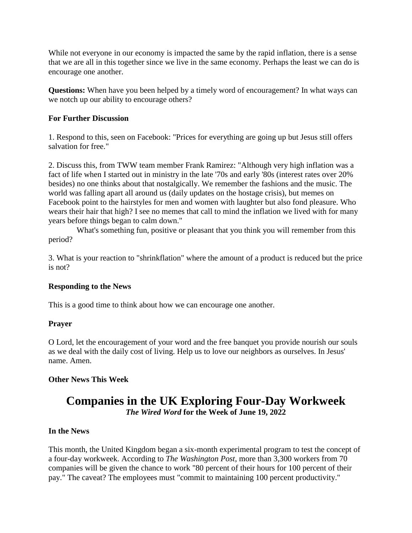While not everyone in our economy is impacted the same by the rapid inflation, there is a sense that we are all in this together since we live in the same economy. Perhaps the least we can do is encourage one another.

**Questions:** When have you been helped by a timely word of encouragement? In what ways can we notch up our ability to encourage others?

### **For Further Discussion**

1. Respond to this, seen on Facebook: "Prices for everything are going up but Jesus still offers salvation for free."

2. Discuss this, from TWW team member Frank Ramirez: "Although very high inflation was a fact of life when I started out in ministry in the late '70s and early '80s (interest rates over 20% besides) no one thinks about that nostalgically. We remember the fashions and the music. The world was falling apart all around us (daily updates on the hostage crisis), but memes on Facebook point to the hairstyles for men and women with laughter but also fond pleasure. Who wears their hair that high? I see no memes that call to mind the inflation we lived with for many years before things began to calm down."

 What's something fun, positive or pleasant that you think you will remember from this period?

3. What is your reaction to "shrinkflation" where the amount of a product is reduced but the price is not?

### **Responding to the News**

This is a good time to think about how we can encourage one another.

### **Prayer**

O Lord, let the encouragement of your word and the free banquet you provide nourish our souls as we deal with the daily cost of living. Help us to love our neighbors as ourselves. In Jesus' name. Amen.

### **Other News This Week**

# **Companies in the UK Exploring Four-Day Workweek** *The Wired Word* **for the Week of June 19, 2022**

### **In the News**

This month, the United Kingdom began a six-month experimental program to test the concept of a four-day workweek. According to *The Washington Post*, more than 3,300 workers from 70 companies will be given the chance to work "80 percent of their hours for 100 percent of their pay." The caveat? The employees must "commit to maintaining 100 percent productivity."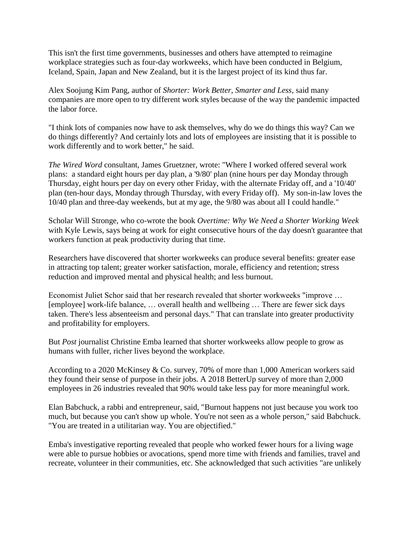This isn't the first time governments, businesses and others have attempted to reimagine workplace strategies such as four-day workweeks, which have been conducted in Belgium, Iceland, Spain, Japan and New Zealand, but it is the largest project of its kind thus far.

Alex Soojung Kim Pang, author of *Shorter: Work Better, Smarter and Less*, said many companies are more open to try different work styles because of the way the pandemic impacted the labor force.

"I think lots of companies now have to ask themselves, why do we do things this way? Can we do things differently? And certainly lots and lots of employees are insisting that it is possible to work differently and to work better," he said.

*The Wired Word* consultant, James Gruetzner, wrote: "Where I worked offered several work plans: a standard eight hours per day plan, a '9/80' plan (nine hours per day Monday through Thursday, eight hours per day on every other Friday, with the alternate Friday off, and a '10/40' plan (ten-hour days, Monday through Thursday, with every Friday off). My son-in-law loves the 10/40 plan and three-day weekends, but at my age, the 9/80 was about all I could handle."

Scholar Will Stronge, who co-wrote the book *Overtime: Why We Need a Shorter Working Week* with Kyle Lewis, says being at work for eight consecutive hours of the day doesn't guarantee that workers function at peak productivity during that time.

Researchers have discovered that shorter workweeks can produce several benefits: greater ease in attracting top talent; greater worker satisfaction, morale, efficiency and retention; stress reduction and improved mental and physical health; and less burnout.

Economist Juliet Schor said that her research revealed that shorter workweeks "improve … [employee] work-life balance, … overall health and wellbeing … There are fewer sick days taken. There's less absenteeism and personal days." That can translate into greater productivity and profitability for employers.

But *Post* journalist Christine Emba learned that shorter workweeks allow people to grow as humans with fuller, richer lives beyond the workplace.

According to a 2020 McKinsey & Co. survey, 70% of more than 1,000 American workers said they found their sense of purpose in their jobs. A 2018 BetterUp survey of more than 2,000 employees in 26 industries revealed that 90% would take less pay for more meaningful work.

Elan Babchuck, a rabbi and entrepreneur, said, "Burnout happens not just because you work too much, but because you can't show up whole. You're not seen as a whole person," said Babchuck. "You are treated in a utilitarian way. You are objectified."

Emba's investigative reporting revealed that people who worked fewer hours for a living wage were able to pursue hobbies or avocations, spend more time with friends and families, travel and recreate, volunteer in their communities, etc. She acknowledged that such activities "are unlikely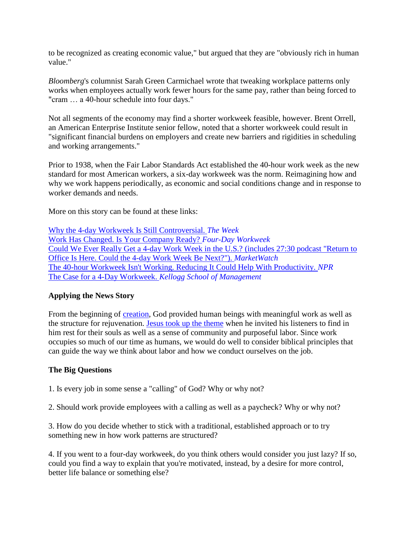to be recognized as creating economic value," but argued that they are "obviously rich in human value."

*Bloomberg*'s columnist Sarah Green Carmichael wrote that tweaking workplace patterns only works when employees actually work fewer hours for the same pay, rather than being forced to "cram … a 40-hour schedule into four days."

Not all segments of the economy may find a shorter workweek feasible, however. Brent Orrell, an American Enterprise Institute senior fellow, noted that a shorter workweek could result in "significant financial burdens on employers and create new barriers and rigidities in scheduling and working arrangements."

Prior to 1938, when the Fair Labor Standards Act established the 40-hour work week as the new standard for most American workers, a six-day workweek was the norm. Reimagining how and why we work happens periodically, as economic and social conditions change and in response to worker demands and needs.

More on this story can be found at these links:

[Why the 4-day Workweek Is Still Controversial.](http://url6748.thewiredword.com/ls/click?upn=FXq18njYKHucetmqt-2BDlq8znYewSPA0WeVzNMuXCxZ-2FQMw-2FGA33astKmQhU1HaizR6hje9Ih6FjrzTuY5RBtd8-2Fji-2F5nsct97f0IkMkSs7A-3DDAb0_3P4Kxku8HPj-2F7I4XoZ3-2FXv9OsSYMv1idSWZlXhhfbq-2BSQce3dwmMi3-2FKRL57X8zahNWVMqSXIuLV2CogM9cAPZCCtnbhb1KEvMJTnX859-2BxMxmjExZjj5tjzI-2FXiu1u8SuLPhKAMyyOIHFyztzoKk62RqLBZthxenAUOwch4vqrhuRaeoKqVnX61-2FQ5NYuJOgrMnl5KGJJhnBQd8dNMpjjqUypAuvELnUVRaYFCl6UYmiulnoGGRnJYA8hC7DQuFE9DaX9YHFr8HMXvAD4utnkE4TKIOaqsQoUusnSkVHZfxufJ8dn0WF4GSrMIalBXTYMxZajkexC2i7Od5AysimQ6vN-2FhOGY4AAuCXQHY9n2y4mB1ReveOvACDsxrFtZclvOrcvvxWJJHdu5-2FQPdVthPWGkMibzpf0K613u4fPD69soESYMABZHBCykRE5-2BsT9X6SkEidxD7RR0LURc8w0KujoR-2F5edCERAtW1R7EMkGvDSoMZeNR5eLkonSc9X2U2) *The Week* [Work Has Changed. Is Your Company Ready?](http://url6748.thewiredword.com/ls/click?upn=FXq18njYKHucetmqt-2BDlq3HbG-2BmDEC-2BKWp3SVVI-2F8olTIHBrpuzf8gj9vFXgkDfogaM-_3P4Kxku8HPj-2F7I4XoZ3-2FXv9OsSYMv1idSWZlXhhfbq-2BSQce3dwmMi3-2FKRL57X8zahNWVMqSXIuLV2CogM9cAPZCCtnbhb1KEvMJTnX859-2BxMxmjExZjj5tjzI-2FXiu1u8SuLPhKAMyyOIHFyztzoKk62RqLBZthxenAUOwch4vqrhuRaeoKqVnX61-2FQ5NYuJOgrMnl5KGJJhnBQd8dNMpjjqUypAuvELnUVRaYFCl6UYmiulnoGGRnJYA8hC7DQuFE9DaX9YHFr8HMXvAD4utnkE4TKIOaqsQoUusnSkVHZcx-2FMHYG79thOE3IybmX2uwalR-2Bn9Gp-2BLtxxYQMfTQj44blM1mHiA9Ikx-2F3BRu8leTtVNcCTLlosIHWMyidpxMT5Nc3igPYxAmeHxHp4-2BKj8ZaaRn9hpiUUAg-2FRQR5V9cQubp48ShXo8cp6fanGHcOvwxoqB4y-2Bk5jEc-2BozV5sAhhROBSSiZB3FZk6JHgQud6bmm8vDsP0VBO1ueW-2Bik5ED) *Four-Day Workweek* [Could We Ever Really Get a 4-day Work Week in the U.S.? \(includes 27:30 podcast "Return to](http://url6748.thewiredword.com/ls/click?upn=FXq18njYKHucetmqt-2BDlqyfkuK-2BzZEFYngBqr5ehgVVV0aokWUaBgwzQCp3iD8qrc4byAQKj7MffujPqnExPLBruOAi-2FxfC-2FW68UsH1z9Ke-2FWSgTzXTlHv5hBEG-2B8Vg9KPQFczPV8F54ZgmZWmScXQ-3D-3DYz1T_3P4Kxku8HPj-2F7I4XoZ3-2FXv9OsSYMv1idSWZlXhhfbq-2BSQce3dwmMi3-2FKRL57X8zahNWVMqSXIuLV2CogM9cAPZCCtnbhb1KEvMJTnX859-2BxMxmjExZjj5tjzI-2FXiu1u8SuLPhKAMyyOIHFyztzoKk62RqLBZthxenAUOwch4vqrhuRaeoKqVnX61-2FQ5NYuJOgrMnl5KGJJhnBQd8dNMpjjqUypAuvELnUVRaYFCl6UYmiulnoGGRnJYA8hC7DQuFE9DaX9YHFr8HMXvAD4utnkE4TKIOaqsQoUusnSkVHZd8pCPlUngmmIA6wt7tHk4qKuUPm46j20i2DqqSnCG-2Bpi-2FaX88jNcZeX-2B75KaXjM2BXrvFilGs-2BpEDjOA3iPNDyVIxGM3CRok8321fX4Aq8zSPPnnHDlV1-2BrLulQIeol8sqtdkzb-2BxlLU0vrXkyZnaOIM5Y6kLREvuIJNsXHQsvW9OJbwxwz59UcfyVOb14wQJLULxTmw731QvpJskh0vrG)  [Office Is Here. Could the 4-day Work Week Be Next?"\).](http://url6748.thewiredword.com/ls/click?upn=FXq18njYKHucetmqt-2BDlqyfkuK-2BzZEFYngBqr5ehgVVV0aokWUaBgwzQCp3iD8qrc4byAQKj7MffujPqnExPLBruOAi-2FxfC-2FW68UsH1z9Ke-2FWSgTzXTlHv5hBEG-2B8Vg9KPQFczPV8F54ZgmZWmScXQ-3D-3DYz1T_3P4Kxku8HPj-2F7I4XoZ3-2FXv9OsSYMv1idSWZlXhhfbq-2BSQce3dwmMi3-2FKRL57X8zahNWVMqSXIuLV2CogM9cAPZCCtnbhb1KEvMJTnX859-2BxMxmjExZjj5tjzI-2FXiu1u8SuLPhKAMyyOIHFyztzoKk62RqLBZthxenAUOwch4vqrhuRaeoKqVnX61-2FQ5NYuJOgrMnl5KGJJhnBQd8dNMpjjqUypAuvELnUVRaYFCl6UYmiulnoGGRnJYA8hC7DQuFE9DaX9YHFr8HMXvAD4utnkE4TKIOaqsQoUusnSkVHZd8pCPlUngmmIA6wt7tHk4qKuUPm46j20i2DqqSnCG-2Bpi-2FaX88jNcZeX-2B75KaXjM2BXrvFilGs-2BpEDjOA3iPNDyVIxGM3CRok8321fX4Aq8zSPPnnHDlV1-2BrLulQIeol8sqtdkzb-2BxlLU0vrXkyZnaOIM5Y6kLREvuIJNsXHQsvW9OJbwxwz59UcfyVOb14wQJLULxTmw731QvpJskh0vrG) *MarketWatch* [The 40-hour Workweek Isn't Working. Reducing It Could Help With Productivity.](http://url6748.thewiredword.com/ls/click?upn=FXq18njYKHucetmqt-2BDlq91lsljohRc4tM5nskPPyTDu1lhywt-2FNSjTQAYaSycwiZjziGsbdGklqIF-2B-2FGTdkhXk73OAgymk-2BmN5ockUmcq8-3D6DeQ_3P4Kxku8HPj-2F7I4XoZ3-2FXv9OsSYMv1idSWZlXhhfbq-2BSQce3dwmMi3-2FKRL57X8zahNWVMqSXIuLV2CogM9cAPZCCtnbhb1KEvMJTnX859-2BxMxmjExZjj5tjzI-2FXiu1u8SuLPhKAMyyOIHFyztzoKk62RqLBZthxenAUOwch4vqrhuRaeoKqVnX61-2FQ5NYuJOgrMnl5KGJJhnBQd8dNMpjjqUypAuvELnUVRaYFCl6UYmiulnoGGRnJYA8hC7DQuFE9DaX9YHFr8HMXvAD4utnkE4TKIOaqsQoUusnSkVHZeYekZ5T-2BnJ-2FGmbW9WTTECipdeFUga1JEevW-2F2PnBMpDTIyPs0suL4F5I-2BPQCARBmPZH1WP8uOZdzk3z2iaurWfmudMFj3gWuazzb9CHZdGE5GN-2B0Qs2bT-2F5PiGtkAj0vGSvY97Edt-2FOENvk6QJzVCUxHqv702hV2JL5TeYD3PyJX3vg3SNq-2FcrHoUN3mQSx6mcFjennpIhHah9gQDiyFNs) *NPR* [The Case for a 4-Day Workweek.](http://url6748.thewiredword.com/ls/click?upn=FXq18njYKHucetmqt-2BDlqwGy4ggqCgB-2B-2FUoWYBhwbMZpCXrrEDjYUWZ840xF5QXNCh-2BHU7UDQwTnDgy6YAnKh-2F6IFcLW-2FNQcKD6XQcmgsdtoQv-2BK7bUHcbvcyBEkwc9-2FIyrX_3P4Kxku8HPj-2F7I4XoZ3-2FXv9OsSYMv1idSWZlXhhfbq-2BSQce3dwmMi3-2FKRL57X8zahNWVMqSXIuLV2CogM9cAPZCCtnbhb1KEvMJTnX859-2BxMxmjExZjj5tjzI-2FXiu1u8SuLPhKAMyyOIHFyztzoKk62RqLBZthxenAUOwch4vqrhuRaeoKqVnX61-2FQ5NYuJOgrMnl5KGJJhnBQd8dNMpjjqUypAuvELnUVRaYFCl6UYmiulnoGGRnJYA8hC7DQuFE9DaX9YHFr8HMXvAD4utnkE4TKIOaqsQoUusnSkVHZfJA0ExEYeqYl38XBmw6iQhyWxG4VD4O-2Bv1lCtvLTVChHZcrvWeVTezLDlu6NBCuWHTIz-2FxbsLc0iqvqKWK42urxNMi5U4bKvWdu3p5-2BOh4Mv1scjzcxnouECQUDiy-2FiwAGrv2RLYQU1PUBqjkImkAqofdXn22lc5Bqou6w39hAWzbK4Idwp70eWRmm19mIK1s6a1pjkZanCvbGSRuAqnSN) *Kellogg School of Management*

### **Applying the News Story**

From the beginning of [creation,](http://url6748.thewiredword.com/ls/click?upn=FXq18njYKHucetmqt-2BDlq7yUGu2EWPSz-2Brkxn3-2Blc81laFvNpatXtNw2c8uopxzgJQ9ZqnDDq28tYkYlnD8rC6QPwGqXGYYGGAijAqWDParx-2BV7ewBQNnDbxpaV3iQW32mD2_3P4Kxku8HPj-2F7I4XoZ3-2FXv9OsSYMv1idSWZlXhhfbq-2BSQce3dwmMi3-2FKRL57X8zahNWVMqSXIuLV2CogM9cAPZCCtnbhb1KEvMJTnX859-2BxMxmjExZjj5tjzI-2FXiu1u8SuLPhKAMyyOIHFyztzoKk62RqLBZthxenAUOwch4vqrhuRaeoKqVnX61-2FQ5NYuJOgrMnl5KGJJhnBQd8dNMpjjqUypAuvELnUVRaYFCl6UYmiulnoGGRnJYA8hC7DQuFE9DaX9YHFr8HMXvAD4utnkE4TKIOaqsQoUusnSkVHZdjyK16OVNNZAplkqi-2BQYu-2BuIp137bsiHc1jze7LtnVyYCtAKhkp1sj3CkERHvF2FDk7KCz1WMpe5DewU-2BHMi0-2BfH9Df-2BH2gLZgl-2Frss2Mv6wBaBwavvmSF6qpbH67ZCpWX1i-2F2F1WJBAFBEWuIPyZpZh0G33X1MstLe30Ly5rbUiWQ9BZ9XnQRqWIvrClu7iq-2Fze0YOazbMhMhgEwWHI0Z) God provided human beings with meaningful work as well as the structure for rejuvenation. **Jesus took up the theme** when he invited his listeners to find in him rest for their souls as well as a sense of community and purposeful labor. Since work occupies so much of our time as humans, we would do well to consider biblical principles that can guide the way we think about labor and how we conduct ourselves on the job.

### **The Big Questions**

1. Is every job in some sense a "calling" of God? Why or why not?

2. Should work provide employees with a calling as well as a paycheck? Why or why not?

3. How do you decide whether to stick with a traditional, established approach or to try something new in how work patterns are structured?

4. If you went to a four-day workweek, do you think others would consider you just lazy? If so, could you find a way to explain that you're motivated, instead, by a desire for more control, better life balance or something else?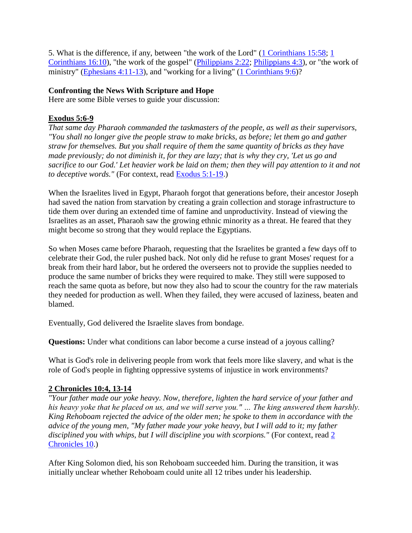5. What is the difference, if any, between "the work of the Lord" [\(1 Corinthians 15:58;](http://url6748.thewiredword.com/ls/click?upn=FXq18njYKHucetmqt-2BDlq7yUGu2EWPSz-2Brkxn3-2Blc81laFvNpatXtNw2c8uopxzg0c3jRI1PsVn8BK8xjKHtTdzC0SkeYo2EMzaQutRB82MHhrMmwbu9cKzZUfQ3foBKcJuq_3P4Kxku8HPj-2F7I4XoZ3-2FXv9OsSYMv1idSWZlXhhfbq-2BSQce3dwmMi3-2FKRL57X8zahNWVMqSXIuLV2CogM9cAPZCCtnbhb1KEvMJTnX859-2BxMxmjExZjj5tjzI-2FXiu1u8SuLPhKAMyyOIHFyztzoKk62RqLBZthxenAUOwch4vqrhuRaeoKqVnX61-2FQ5NYuJOgrMnl5KGJJhnBQd8dNMpjjqUypAuvELnUVRaYFCl6UYmiulnoGGRnJYA8hC7DQuFE9DaX9YHFr8HMXvAD4utnkE4TKIOaqsQoUusnSkVHZfvsDz6G4O4Ci4dfdw7J6De3-2BANL74lLTXAoGXV6aKBMxmQgJ2TiiXnFWXgu1N1F-2FOfQyKDivBP3ubusysf8IA6WkKKI1oUwfZJkm4Ryv47PsiFqobnH2ed1H59YTbE-2BuMObkRIXwFrY6D4gOgGAWtmC-2Bqwm4AZqtUZ2QUPjsVJw9C7xW2xa8YFPdrxafjS9nZm5HWwmE8ut1ulTkHFIlyi) [1](http://url6748.thewiredword.com/ls/click?upn=FXq18njYKHucetmqt-2BDlq7yUGu2EWPSz-2Brkxn3-2Blc81laFvNpatXtNw2c8uopxzg0c3jRI1PsVn8BK8xjKHtTRLvmuCBc2V7lxtq7h9l90rZgoIDAiqG0op706R5rfLq8hYs_3P4Kxku8HPj-2F7I4XoZ3-2FXv9OsSYMv1idSWZlXhhfbq-2BSQce3dwmMi3-2FKRL57X8zahNWVMqSXIuLV2CogM9cAPZCCtnbhb1KEvMJTnX859-2BxMxmjExZjj5tjzI-2FXiu1u8SuLPhKAMyyOIHFyztzoKk62RqLBZthxenAUOwch4vqrhuRaeoKqVnX61-2FQ5NYuJOgrMnl5KGJJhnBQd8dNMpjjqUypAuvELnUVRaYFCl6UYmiulnoGGRnJYA8hC7DQuFE9DaX9YHFr8HMXvAD4utnkE4TKIOaqsQoUusnSkVHZfDryuEW9hJ5QLAb9jS0hHKtq07ijYh3MOXaw6RMhg5cDemz25wzumUSJEOUFPfCl5WarZAqh25swD-2FCUkW19NfnqGyx8A67GmxtLCcEOANQepJLFaE9Hh-2Bw3Z8AhkLKhUdlj8DQg2ccZBoiDvtAaZIHbTrx1tl3L-2Ff-2FlCYdaEgrw5F4KkpQRNueRg3MkPmvomDauzqfvJwMjt3qIe5Njcv)  [Corinthians 16:10\)](http://url6748.thewiredword.com/ls/click?upn=FXq18njYKHucetmqt-2BDlq7yUGu2EWPSz-2Brkxn3-2Blc81laFvNpatXtNw2c8uopxzg0c3jRI1PsVn8BK8xjKHtTRLvmuCBc2V7lxtq7h9l90rZgoIDAiqG0op706R5rfLq8hYs_3P4Kxku8HPj-2F7I4XoZ3-2FXv9OsSYMv1idSWZlXhhfbq-2BSQce3dwmMi3-2FKRL57X8zahNWVMqSXIuLV2CogM9cAPZCCtnbhb1KEvMJTnX859-2BxMxmjExZjj5tjzI-2FXiu1u8SuLPhKAMyyOIHFyztzoKk62RqLBZthxenAUOwch4vqrhuRaeoKqVnX61-2FQ5NYuJOgrMnl5KGJJhnBQd8dNMpjjqUypAuvELnUVRaYFCl6UYmiulnoGGRnJYA8hC7DQuFE9DaX9YHFr8HMXvAD4utnkE4TKIOaqsQoUusnSkVHZfDryuEW9hJ5QLAb9jS0hHKtq07ijYh3MOXaw6RMhg5cDemz25wzumUSJEOUFPfCl5WarZAqh25swD-2FCUkW19NfnqGyx8A67GmxtLCcEOANQepJLFaE9Hh-2Bw3Z8AhkLKhUdlj8DQg2ccZBoiDvtAaZIHbTrx1tl3L-2Ff-2FlCYdaEgrw5F4KkpQRNueRg3MkPmvomDauzqfvJwMjt3qIe5Njcv), "the work of the gospel" [\(Philippians 2:22;](http://url6748.thewiredword.com/ls/click?upn=FXq18njYKHucetmqt-2BDlq7yUGu2EWPSz-2Brkxn3-2Blc81laFvNpatXtNw2c8uopxzg-2BqtpqNDGU71MgNrm4w9DvBjnlVIz70-2BF-2B9AX7CEe-2B4TRAmFEqLjWdbiT5itOfvO4H2Go_3P4Kxku8HPj-2F7I4XoZ3-2FXv9OsSYMv1idSWZlXhhfbq-2BSQce3dwmMi3-2FKRL57X8zahNWVMqSXIuLV2CogM9cAPZCCtnbhb1KEvMJTnX859-2BxMxmjExZjj5tjzI-2FXiu1u8SuLPhKAMyyOIHFyztzoKk62RqLBZthxenAUOwch4vqrhuRaeoKqVnX61-2FQ5NYuJOgrMnl5KGJJhnBQd8dNMpjjqUypAuvELnUVRaYFCl6UYmiulnoGGRnJYA8hC7DQuFE9DaX9YHFr8HMXvAD4utnkE4TKIOaqsQoUusnSkVHZfy3JfBKdVCpbJqAHFebgBGvqwCT9uoJ5f8UU123JdmROYHacDnOO0tM1w3aePgbZchGPSvvInBe7m-2BcTCLIarZ-2F6UmnMwSHagav32IYihyyIyGHKFI-2Be4W7mJ5RqtiZMhGfsDuWRvfdd8RUyLSJXl1xQON8X21eYVW2K8tctPymW-2FMTK0TmXQkqYG9ESagDWCkGzXlcF4N-2F-2FxkmAk-2FtxHy) [Philippians 4:3\)](http://url6748.thewiredword.com/ls/click?upn=FXq18njYKHucetmqt-2BDlq7yUGu2EWPSz-2Brkxn3-2Blc81laFvNpatXtNw2c8uopxzg-2BqtpqNDGU71MgNrm4w9DvIxbiWp3jaL3s8sEXPZAiATiTTOJhIn-2FosTF-2BYyKClvNIyz6_3P4Kxku8HPj-2F7I4XoZ3-2FXv9OsSYMv1idSWZlXhhfbq-2BSQce3dwmMi3-2FKRL57X8zahNWVMqSXIuLV2CogM9cAPZCCtnbhb1KEvMJTnX859-2BxMxmjExZjj5tjzI-2FXiu1u8SuLPhKAMyyOIHFyztzoKk62RqLBZthxenAUOwch4vqrhuRaeoKqVnX61-2FQ5NYuJOgrMnl5KGJJhnBQd8dNMpjjqUypAuvELnUVRaYFCl6UYmiulnoGGRnJYA8hC7DQuFE9DaX9YHFr8HMXvAD4utnkE4TKIOaqsQoUusnSkVHZcLGjpvTm-2BPvb8RbFI44sJrMiCsr0CxUyVpH7WZ4u2izIKz37ESYykvUCb6oJmOF8hZgLVjQF3S-2B7YiYAnoKrC520OVzKcg2Vv0dsTfHhoeS8sX99Jub-2FCx1pIPTyRmPvOFrkbopHikOLQwLnQSDPXc9Loj3cYxgF2rxe2QWroZnUyIbSJ1KmqhOIt9Yxf8bN9fKb-2B-2BvgDUxQpNk4iN3Mlz), or "the work of ministry" [\(Ephesians 4:11-13\)](http://url6748.thewiredword.com/ls/click?upn=FXq18njYKHucetmqt-2BDlq7yUGu2EWPSz-2Brkxn3-2Blc81laFvNpatXtNw2c8uopxzgqlrKiG5FXTsaU6pd4-2FInbBj5-2BHo6UnQzl7Irs3oqLO-2FOG9ayW7mPnbFc1iNiIxAkdPt__3P4Kxku8HPj-2F7I4XoZ3-2FXv9OsSYMv1idSWZlXhhfbq-2BSQce3dwmMi3-2FKRL57X8zahNWVMqSXIuLV2CogM9cAPZCCtnbhb1KEvMJTnX859-2BxMxmjExZjj5tjzI-2FXiu1u8SuLPhKAMyyOIHFyztzoKk62RqLBZthxenAUOwch4vqrhuRaeoKqVnX61-2FQ5NYuJOgrMnl5KGJJhnBQd8dNMpjjqUypAuvELnUVRaYFCl6UYmiulnoGGRnJYA8hC7DQuFE9DaX9YHFr8HMXvAD4utnkE4TKIOaqsQoUusnSkVHZde2wh4ttXo16q95qJHogsLy4XczG2UPbYtQ4CqKuxoD6VtzN7XSyAr7YLR2ANDOSqsn3NNM6efpDJvF4oNdf7VSdoOJjH9cDzWavDBQ6crJmqwXXyXR1sFF1YpUSUJwqMgjv8SZR-2FACdBltl55Y55Hs11KYNk5BjfA3zCre8u365qfUTNv3Nj-2FwgRsCQ7Jk8jZMhNW1wbkNOA3kXozaFkH), and "working for a living" [\(1 Corinthians 9:6\)](http://url6748.thewiredword.com/ls/click?upn=FXq18njYKHucetmqt-2BDlq7yUGu2EWPSz-2Brkxn3-2Blc81laFvNpatXtNw2c8uopxzg0c3jRI1PsVn8BK8xjKHtTdTRqPOmHceeiaslsc6UBTYZlQ-2BUrbAMS9Wvxe3U8PBEwaor_3P4Kxku8HPj-2F7I4XoZ3-2FXv9OsSYMv1idSWZlXhhfbq-2BSQce3dwmMi3-2FKRL57X8zahNWVMqSXIuLV2CogM9cAPZCCtnbhb1KEvMJTnX859-2BxMxmjExZjj5tjzI-2FXiu1u8SuLPhKAMyyOIHFyztzoKk62RqLBZthxenAUOwch4vqrhuRaeoKqVnX61-2FQ5NYuJOgrMnl5KGJJhnBQd8dNMpjjqUypAuvELnUVRaYFCl6UYmiulnoGGRnJYA8hC7DQuFE9DaX9YHFr8HMXvAD4utnkE4TKIOaqsQoUusnSkVHZeUnsuKWln8qBxj9uh0TrdX4ie5NVYy8RcJ1bkO-2BAI4GpdTeWzd6asXyGfWw11PwRWJlRY7-2FqMLsxw-2Be9pZYVi-2B2xnEbj2Vf2zkmu5m9w62Lms4Z20wdhPcsSOIuAid2QxtsjieSnjdg9KaVnvV66TWKz5I855NfRTkxNbIvnlvBB8ZnL1axjSpIStoL42CVBj2MAXxnvbNsBvSa1XQJyBs)?

### **Confronting the News With Scripture and Hope**

Here are some Bible verses to guide your discussion:

### **Exodus 5:6-9**

*That same day Pharaoh commanded the taskmasters of the people, as well as their supervisors, "You shall no longer give the people straw to make bricks, as before; let them go and gather straw for themselves. But you shall require of them the same quantity of bricks as they have made previously; do not diminish it, for they are lazy; that is why they cry, 'Let us go and sacrifice to our God.' Let heavier work be laid on them; then they will pay attention to it and not to deceptive words."* (For context, read [Exodus 5:1-19.](http://url6748.thewiredword.com/ls/click?upn=FXq18njYKHucetmqt-2BDlq7yUGu2EWPSz-2Brkxn3-2Blc81laFvNpatXtNw2c8uopxzgPFW1Q84CG5WVpo3b9QUACykdHv5TlxA5x3qmtVLVUeOYhtmBEmQBkdNYDgjrYq64vnjt_3P4Kxku8HPj-2F7I4XoZ3-2FXv9OsSYMv1idSWZlXhhfbq-2BSQce3dwmMi3-2FKRL57X8zahNWVMqSXIuLV2CogM9cAPZCCtnbhb1KEvMJTnX859-2BxMxmjExZjj5tjzI-2FXiu1u8SuLPhKAMyyOIHFyztzoKk62RqLBZthxenAUOwch4vqrhuRaeoKqVnX61-2FQ5NYuJOgrMnl5KGJJhnBQd8dNMpjjqUypAuvELnUVRaYFCl6UYmiulnoGGRnJYA8hC7DQuFE9DaX9YHFr8HMXvAD4utnkE4TKIOaqsQoUusnSkVHZemXEHPaCPQayFWO0oKeOzX43lyMNKSTp0OYDsBYd6a-2F3R6Ddj6q9OZZDDYmxvptIsMuxmu9EPZtF3qCPLI7zNSAbWlp-2FdQDd4ShwdVlbIza3LbeFKUYgmyNtofZyKzPRNWK7wRdZOgklV2WjwZ77wmhJRexKp-2BDnvAIhYDvhQ5-2B9MoqP31QSldFc5IkWRovduTfOHIxZv4Dl3muWmg8O5v))

When the Israelites lived in Egypt, Pharaoh forgot that generations before, their ancestor Joseph had saved the nation from starvation by creating a grain collection and storage infrastructure to tide them over during an extended time of famine and unproductivity. Instead of viewing the Israelites as an asset, Pharaoh saw the growing ethnic minority as a threat. He feared that they might become so strong that they would replace the Egyptians.

So when Moses came before Pharaoh, requesting that the Israelites be granted a few days off to celebrate their God, the ruler pushed back. Not only did he refuse to grant Moses' request for a break from their hard labor, but he ordered the overseers not to provide the supplies needed to produce the same number of bricks they were required to make. They still were supposed to reach the same quota as before, but now they also had to scour the country for the raw materials they needed for production as well. When they failed, they were accused of laziness, beaten and blamed.

Eventually, God delivered the Israelite slaves from bondage.

**Questions:** Under what conditions can labor become a curse instead of a joyous calling?

What is God's role in delivering people from work that feels more like slavery, and what is the role of God's people in fighting oppressive systems of injustice in work environments?

### **2 Chronicles 10:4, 13-14**

*"Your father made our yoke heavy. Now, therefore, lighten the hard service of your father and his heavy yoke that he placed on us, and we will serve you." … The king answered them harshly. King Rehoboam rejected the advice of the older men; he spoke to them in accordance with the advice of the young men, "My father made your yoke heavy, but I will add to it; my father disciplined you with whips, but I will discipline you with scorpions."* (For context, read [2](http://url6748.thewiredword.com/ls/click?upn=FXq18njYKHucetmqt-2BDlq7yUGu2EWPSz-2Brkxn3-2Blc81laFvNpatXtNw2c8uopxzg-2Bt03Ao1wRZ2cTugtyxjmlLyxdnlxBdJHGRyKyRUo3XahaNiMd8FXomy8BoUC4rCUbBJ5_3P4Kxku8HPj-2F7I4XoZ3-2FXv9OsSYMv1idSWZlXhhfbq-2BSQce3dwmMi3-2FKRL57X8zahNWVMqSXIuLV2CogM9cAPZCCtnbhb1KEvMJTnX859-2BxMxmjExZjj5tjzI-2FXiu1u8SuLPhKAMyyOIHFyztzoKk62RqLBZthxenAUOwch4vqrhuRaeoKqVnX61-2FQ5NYuJOgrMnl5KGJJhnBQd8dNMpjjqUypAuvELnUVRaYFCl6UYmiulnoGGRnJYA8hC7DQuFE9DaX9YHFr8HMXvAD4utnkE4TKIOaqsQoUusnSkVHZd9TIi54LHqVJXCo7Zn4YEQ3-2FlccZWSKOvEJ8zMXb0xIgeTdePKKvDfxScMOlD2uKjwhNg0MCPuCIqr3y-2B8kEWhqqNJGUOIYxR4-2FMsR4Uat6HuKEpRXauv-2FLFJ8TrF4PEaOF80Kq8L-2BpoYnk4BJWDdypWMq7uLTu1miG1RqU0v0425Xu8yIaX7qpywg22-2FDIgRku6r1Atb3xy5JViCx6lT1)  [Chronicles 10.](http://url6748.thewiredword.com/ls/click?upn=FXq18njYKHucetmqt-2BDlq7yUGu2EWPSz-2Brkxn3-2Blc81laFvNpatXtNw2c8uopxzg-2Bt03Ao1wRZ2cTugtyxjmlLyxdnlxBdJHGRyKyRUo3XahaNiMd8FXomy8BoUC4rCUbBJ5_3P4Kxku8HPj-2F7I4XoZ3-2FXv9OsSYMv1idSWZlXhhfbq-2BSQce3dwmMi3-2FKRL57X8zahNWVMqSXIuLV2CogM9cAPZCCtnbhb1KEvMJTnX859-2BxMxmjExZjj5tjzI-2FXiu1u8SuLPhKAMyyOIHFyztzoKk62RqLBZthxenAUOwch4vqrhuRaeoKqVnX61-2FQ5NYuJOgrMnl5KGJJhnBQd8dNMpjjqUypAuvELnUVRaYFCl6UYmiulnoGGRnJYA8hC7DQuFE9DaX9YHFr8HMXvAD4utnkE4TKIOaqsQoUusnSkVHZd9TIi54LHqVJXCo7Zn4YEQ3-2FlccZWSKOvEJ8zMXb0xIgeTdePKKvDfxScMOlD2uKjwhNg0MCPuCIqr3y-2B8kEWhqqNJGUOIYxR4-2FMsR4Uat6HuKEpRXauv-2FLFJ8TrF4PEaOF80Kq8L-2BpoYnk4BJWDdypWMq7uLTu1miG1RqU0v0425Xu8yIaX7qpywg22-2FDIgRku6r1Atb3xy5JViCx6lT1))

After King Solomon died, his son Rehoboam succeeded him. During the transition, it was initially unclear whether Rehoboam could unite all 12 tribes under his leadership.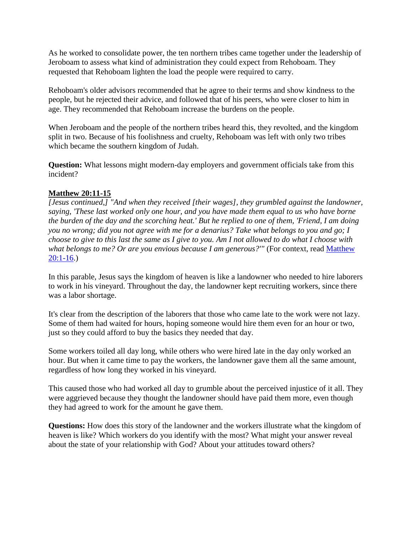As he worked to consolidate power, the ten northern tribes came together under the leadership of Jeroboam to assess what kind of administration they could expect from Rehoboam. They requested that Rehoboam lighten the load the people were required to carry.

Rehoboam's older advisors recommended that he agree to their terms and show kindness to the people, but he rejected their advice, and followed that of his peers, who were closer to him in age. They recommended that Rehoboam increase the burdens on the people.

When Jeroboam and the people of the northern tribes heard this, they revolted, and the kingdom split in two. Because of his foolishness and cruelty, Rehoboam was left with only two tribes which became the southern kingdom of Judah.

**Question:** What lessons might modern-day employers and government officials take from this incident?

### **Matthew 20:11-15**

*[Jesus continued,] "And when they received [their wages], they grumbled against the landowner, saying, 'These last worked only one hour, and you have made them equal to us who have borne the burden of the day and the scorching heat.' But he replied to one of them, 'Friend, I am doing you no wrong; did you not agree with me for a denarius? Take what belongs to you and go; I choose to give to this last the same as I give to you. Am I not allowed to do what I choose with*  what belongs to me? Or are you envious because I am generous?'" (For context, read **Matthew** [20:1-16.](http://url6748.thewiredword.com/ls/click?upn=FXq18njYKHucetmqt-2BDlq7yUGu2EWPSz-2Brkxn3-2Blc81laFvNpatXtNw2c8uopxzgD3m-2FyDEkhAQ5XWbbg2vnc0A9x-2FBVL-2B8xqWQMl0J3UtTyISbYpWFcJcuKgR1wXyUJjkHK_3P4Kxku8HPj-2F7I4XoZ3-2FXv9OsSYMv1idSWZlXhhfbq-2BSQce3dwmMi3-2FKRL57X8zahNWVMqSXIuLV2CogM9cAPZCCtnbhb1KEvMJTnX859-2BxMxmjExZjj5tjzI-2FXiu1u8SuLPhKAMyyOIHFyztzoKk62RqLBZthxenAUOwch4vqrhuRaeoKqVnX61-2FQ5NYuJOgrMnl5KGJJhnBQd8dNMpjjqUypAuvELnUVRaYFCl6UYmiulnoGGRnJYA8hC7DQuFE9DaX9YHFr8HMXvAD4utnkE4TKIOaqsQoUusnSkVHZdQZejFTOwbWrT3QXBq7sqCZj9WsdWa-2B3UFqNtwPLDAG-2BV67kvyI0CuKMgeyhOrAhkDV-2FLXMtDagXHrWWg23PZ1iqpyYYML6WAqwgTF22KrnATju5-2Bx78T6zPS0u3v-2FNpPCXMqDZ3kH9nm7JNvo0CnyMbU-2BJxM2sUm9WiZuHCh8i8JC-2BoXWF3RELNNqURDIuXhifCLPxavK-2B7TUUszIrTsn))

In this parable, Jesus says the kingdom of heaven is like a landowner who needed to hire laborers to work in his vineyard. Throughout the day, the landowner kept recruiting workers, since there was a labor shortage.

It's clear from the description of the laborers that those who came late to the work were not lazy. Some of them had waited for hours, hoping someone would hire them even for an hour or two, just so they could afford to buy the basics they needed that day.

Some workers toiled all day long, while others who were hired late in the day only worked an hour. But when it came time to pay the workers, the landowner gave them all the same amount, regardless of how long they worked in his vineyard.

This caused those who had worked all day to grumble about the perceived injustice of it all. They were aggrieved because they thought the landowner should have paid them more, even though they had agreed to work for the amount he gave them.

**Questions:** How does this story of the landowner and the workers illustrate what the kingdom of heaven is like? Which workers do you identify with the most? What might your answer reveal about the state of your relationship with God? About your attitudes toward others?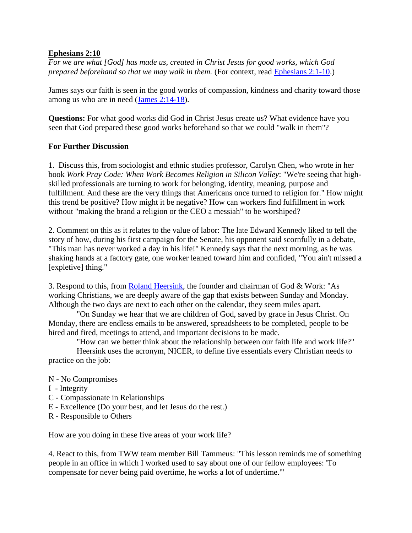### **Ephesians 2:10**

*For we are what [God] has made us, created in Christ Jesus for good works, which God prepared beforehand so that we may walk in them.* (For context, read [Ephesians 2:1-10.](http://url6748.thewiredword.com/ls/click?upn=FXq18njYKHucetmqt-2BDlq7yUGu2EWPSz-2Brkxn3-2Blc81laFvNpatXtNw2c8uopxzgEbCyXHQhqG72fR15JtUtJaAUw2KKCXtMF4b-2FbGEvLj9FzP6-2B6zMWeeGtsZeURxfICNpE_3P4Kxku8HPj-2F7I4XoZ3-2FXv9OsSYMv1idSWZlXhhfbq-2BSQce3dwmMi3-2FKRL57X8zahNWVMqSXIuLV2CogM9cAPZCCtnbhb1KEvMJTnX859-2BxMxmjExZjj5tjzI-2FXiu1u8SuLPhKAMyyOIHFyztzoKk62RqLBZthxenAUOwch4vqrhuRaeoKqVnX61-2FQ5NYuJOgrMnl5KGJJhnBQd8dNMpjjqUypAuvELnUVRaYFCl6UYmiulnoGGRnJYA8hC7DQuFE9DaX9YHFr8HMXvAD4utnkE4TKIOaqsQoUusnSkVHZe5fpgEf-2BwkYhgUQLardFGkybFgH42fSYYDpKmFrfBkQdREdGqKn47XFjF8-2F84UVA-2BKy4Y4bBZoxF2W2Xet6oIdgspj7qJKHiO2D9RFODpmttzhA31VPXEUbXe0F4Rh4s8bt5sJsO-2FJdg-2BroMJ59gtp6qIMaFsHTeO0XB5ytc-2BloxZlHSDKlIz0il42ln0tBpa5ZqPNrdooMxpTx9o1N2jO))

James says our faith is seen in the good works of compassion, kindness and charity toward those among us who are in need [\(James 2:14-18\)](http://url6748.thewiredword.com/ls/click?upn=FXq18njYKHucetmqt-2BDlq7yUGu2EWPSz-2Brkxn3-2Blc81laFvNpatXtNw2c8uopxzgQlFmz8OVjKi5FGWECzIEkuyn7g-2F7hGURbP1SaUaPKtp3qChNKdlNdM3ggvcp37lqvVie_3P4Kxku8HPj-2F7I4XoZ3-2FXv9OsSYMv1idSWZlXhhfbq-2BSQce3dwmMi3-2FKRL57X8zahNWVMqSXIuLV2CogM9cAPZCCtnbhb1KEvMJTnX859-2BxMxmjExZjj5tjzI-2FXiu1u8SuLPhKAMyyOIHFyztzoKk62RqLBZthxenAUOwch4vqrhuRaeoKqVnX61-2FQ5NYuJOgrMnl5KGJJhnBQd8dNMpjjqUypAuvELnUVRaYFCl6UYmiulnoGGRnJYA8hC7DQuFE9DaX9YHFr8HMXvAD4utnkE4TKIOaqsQoUusnSkVHZfG-2BjTmETqYcNnTKCw-2Be6nk1GsK69JDDXh-2F2ZN6csLt-2FXQRGlP-2B4-2FPQCyn-2F9ZUkrIUKm-2Fqv-2BAeVEXTw9FqNpS5Y1WiiYK-2FShJmncMHFMAEFozWH-2BYjEK0CBE6U2Z7GYoAxHjLcOP4eKeWlrAl3v8-2BkXUa6JNtBXkjuq3DpocSAPmJcvEQIdhVSM97TEQn3rMoe2gXGyADkF8CQFgAffp2Wx).

**Questions:** For what good works did God in Christ Jesus create us? What evidence have you seen that God prepared these good works beforehand so that we could "walk in them"?

### **For Further Discussion**

1. Discuss this, from sociologist and ethnic studies professor, Carolyn Chen, who wrote in her book *Work Pray Code: When Work Becomes Religion in Silicon Valley*: "We're seeing that highskilled professionals are turning to work for belonging, identity, meaning, purpose and fulfillment. And these are the very things that Americans once turned to religion for." How might this trend be positive? How might it be negative? How can workers find fulfillment in work without "making the brand a religion or the CEO a messiah" to be worshiped?

2. Comment on this as it relates to the value of labor: The late Edward Kennedy liked to tell the story of how, during his first campaign for the Senate, his opponent said scornfully in a debate, "This man has never worked a day in his life!" Kennedy says that the next morning, as he was shaking hands at a factory gate, one worker leaned toward him and confided, "You ain't missed a [expletive] thing."

3. Respond to this, from [Roland Heersink,](http://url6748.thewiredword.com/ls/click?upn=FXq18njYKHucetmqt-2BDlq9kSggFVF-2FDt9UzCHPD03AGU5iHuYbBz59IqSw4Id-2BF3urAJSV1pkPZCDjH9S1RZqfufBMtsu-2BSn2z-2B4BSW2gm0-3DZ7wU_3P4Kxku8HPj-2F7I4XoZ3-2FXv9OsSYMv1idSWZlXhhfbq-2BSQce3dwmMi3-2FKRL57X8zahNWVMqSXIuLV2CogM9cAPZCCtnbhb1KEvMJTnX859-2BxMxmjExZjj5tjzI-2FXiu1u8SuLPhKAMyyOIHFyztzoKk62RqLBZthxenAUOwch4vqrhuRaeoKqVnX61-2FQ5NYuJOgrMnl5KGJJhnBQd8dNMpjjqUypAuvELnUVRaYFCl6UYmiulnoGGRnJYA8hC7DQuFE9DaX9YHFr8HMXvAD4utnkE4TKIOaqsQoUusnSkVHZcW2iWElCCScui6-2FhR-2ByyKKHB0yQL2itOAtw0039-2FXd9hv7D-2FE8moPgWq-2BBux5fV-2BfFQLcJsv4XLnPtWuKyDu5tLVkJ8EDMzqUO0BgrNcHg1mpWZ3DsJ70qSGDXz2ND50Qnw4BDuMLSGEAeJDVjXH2SMW56W4q-2BidXazcpard0U67Ry9Wgvx49OeJyCPguzhB4b2-2F61jfybaqGxHWJrVgD1) the founder and chairman of God & Work: "As working Christians, we are deeply aware of the gap that exists between Sunday and Monday. Although the two days are next to each other on the calendar, they seem miles apart.

 "On Sunday we hear that we are children of God, saved by grace in Jesus Christ. On Monday, there are endless emails to be answered, spreadsheets to be completed, people to be hired and fired, meetings to attend, and important decisions to be made.

 "How can we better think about the relationship between our faith life and work life?" Heersink uses the acronym, NICER, to define five essentials every Christian needs to practice on the job:

- N No Compromises
- I Integrity
- C Compassionate in Relationships
- E Excellence (Do your best, and let Jesus do the rest.)
- R Responsible to Others

How are you doing in these five areas of your work life?

4. React to this, from TWW team member Bill Tammeus: "This lesson reminds me of something people in an office in which I worked used to say about one of our fellow employees: 'To compensate for never being paid overtime, he works a lot of undertime.'"